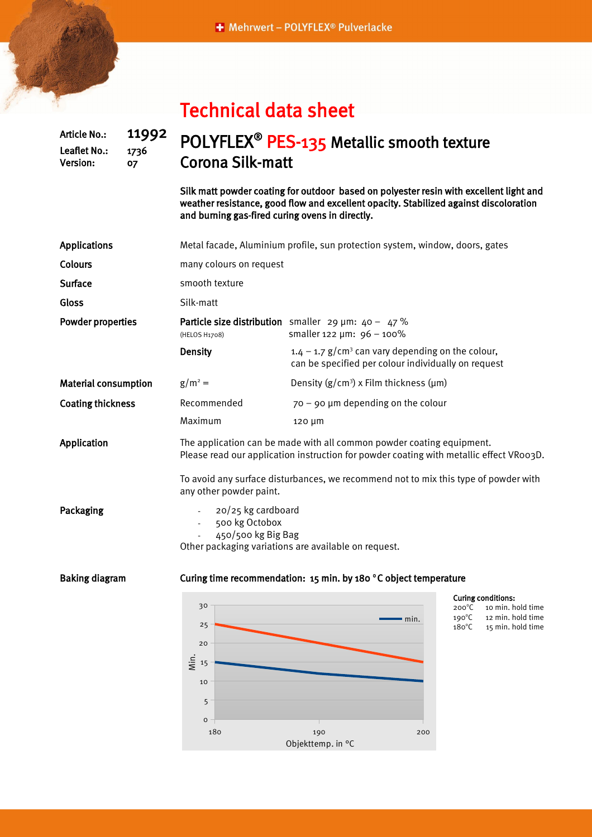|  |  |  | <b>Technical data sheet</b> |
|--|--|--|-----------------------------|

Leaflet No.: 1736 Version: 07

## Article No.: 11992 POLYFLEX<sup>®</sup> PES-135 Metallic smooth texture Corona Silk-matt

Silk matt powder coating for outdoor based on polyester resin with excellent light and weather resistance, good flow and excellent opacity. Stabilized against discoloration and burning gas-fired curing ovens in directly.

| <b>Applications</b>         | Metal facade, Aluminium profile, sun protection system, window, doors, gates                                                     |                                                                                                                                                                  |                                                                                                           |  |  |  |
|-----------------------------|----------------------------------------------------------------------------------------------------------------------------------|------------------------------------------------------------------------------------------------------------------------------------------------------------------|-----------------------------------------------------------------------------------------------------------|--|--|--|
| Colours                     | many colours on request                                                                                                          |                                                                                                                                                                  |                                                                                                           |  |  |  |
| Surface                     | smooth texture                                                                                                                   |                                                                                                                                                                  |                                                                                                           |  |  |  |
| Gloss                       | Silk-matt                                                                                                                        |                                                                                                                                                                  |                                                                                                           |  |  |  |
| <b>Powder properties</b>    | (HELOS H1708)                                                                                                                    | <b>Particle size distribution</b> smaller 29 $\mu$ m: 40 - 47 %<br>smaller 122 µm: 96 - 100%                                                                     |                                                                                                           |  |  |  |
|                             | <b>Density</b>                                                                                                                   | $1.4 - 1.7$ g/cm <sup>3</sup> can vary depending on the colour,<br>can be specified per colour individually on request                                           |                                                                                                           |  |  |  |
| <b>Material consumption</b> | $g/m^2 =$                                                                                                                        | Density $(g/cm^3)$ x Film thickness ( $\mu$ m)                                                                                                                   |                                                                                                           |  |  |  |
| <b>Coating thickness</b>    | Recommended                                                                                                                      | $70 - 90$ µm depending on the colour                                                                                                                             |                                                                                                           |  |  |  |
|                             | Maximum                                                                                                                          | 120 µm                                                                                                                                                           |                                                                                                           |  |  |  |
| Application                 |                                                                                                                                  | The application can be made with all common powder coating equipment.<br>Please read our application instruction for powder coating with metallic effect VR003D. |                                                                                                           |  |  |  |
|                             | To avoid any surface disturbances, we recommend not to mix this type of powder with                                              |                                                                                                                                                                  |                                                                                                           |  |  |  |
| Packaging                   | 20/25 kg cardboard<br>$\sim 100$<br>500 kg Octobox<br>450/500 kg Big Bag<br>Other packaging variations are available on request. |                                                                                                                                                                  |                                                                                                           |  |  |  |
| <b>Baking diagram</b>       | Curing time recommendation: 15 min. by 180 °C object temperature                                                                 |                                                                                                                                                                  |                                                                                                           |  |  |  |
|                             | 30                                                                                                                               | $\blacksquare$ min                                                                                                                                               | <b>Curing conditions:</b><br>10 min. hold time<br>$200^{\circ}$ C<br>$190^{\circ}$ C<br>12 min. hold time |  |  |  |



 $180^{\circ}$ C

15 min. hold time